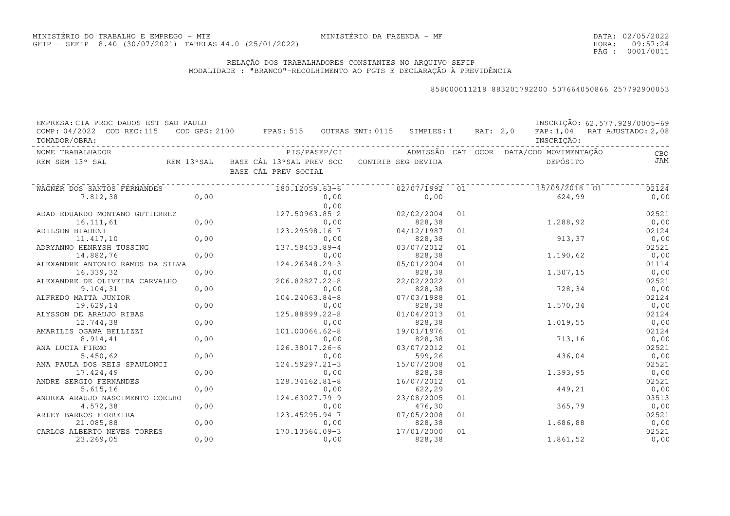DATA:02/05/2022HORA: PÁG : 09:57:24 0001/0011

# RELAÇÃO DOS TRABALHADORES CONSTANTES NO ARQUIVO SEFIPMODALIDADE : "BRANCO"-RECOLHIMENTO AO FGTS E DECLARAÇÃO À PREVIDÊNCIA

| EMPRESA: CIA PROC DADOS EST SAO PAULO<br>COMP: 04/2022 COD REC:115<br>TOMADOR/OBRA: |            | COD GPS: 2100 FPAS: 515 OUTRAS ENT: 0115 SIMPLES: 1 RAT: 2,0                   |      |            |    |  | INSCRIÇÃO:                      | INSCRIÇÃO: 62.577.929/0005-69<br>FAP: 1,04 RAT AJUSTADO: 2,08 |
|-------------------------------------------------------------------------------------|------------|--------------------------------------------------------------------------------|------|------------|----|--|---------------------------------|---------------------------------------------------------------|
| NOME TRABALHADOR                                                                    |            |                                                                                |      |            |    |  |                                 | CBO                                                           |
| REM SEM 13° SAL                                                                     |            | REM 13°SAL BASE CÁL 13°SAL PREV SOC CONTRIB SEG DEVIDA<br>BASE CÁL PREV SOCIAL |      |            |    |  | DEPÓSITO                        | JAM                                                           |
| WAGNER DOS SANTOS FERNANDES                                                         | . <u>.</u> | 180.12059.63-6                                                                 |      |            |    |  | $02/07/1992$ 01 $15/09/2018$ 01 | 02124                                                         |
| 7.812,38                                                                            | 0,00       |                                                                                | 0,00 | 0,00       |    |  | 624,99                          | 0,00                                                          |
|                                                                                     |            |                                                                                | 0,00 |            |    |  |                                 |                                                               |
| ADAD EDUARDO MONTANO GUTIERREZ                                                      |            | 127.50963.85-2                                                                 |      | 02/02/2004 | 01 |  |                                 | 02521                                                         |
| 16.111,61                                                                           | 0,00       |                                                                                | 0,00 | 828,38     |    |  | 1,288,92                        | 0,00                                                          |
| ADILSON BIADENI                                                                     |            | 123.29598.16-7                                                                 |      | 04/12/1987 | 01 |  |                                 | 02124                                                         |
| 11.417,10                                                                           | 0,00       |                                                                                | 0,00 | 828,38     |    |  | 913, 37                         | 0,00                                                          |
| ADRYANNO HENRYSH TUSSING                                                            |            | 137.58453.89-4                                                                 |      | 03/07/2012 | 01 |  |                                 | 02521                                                         |
| 14.882,76                                                                           | 0,00       |                                                                                | 0,00 | 828,38     |    |  | 1.190,62                        | 0,00                                                          |
| ALEXANDRE ANTONIO RAMOS DA SILVA                                                    |            | 124.26348.29-3                                                                 |      | 05/01/2004 | 01 |  |                                 | 01114                                                         |
| 16.339,32                                                                           | 0,00       |                                                                                | 0,00 | 828,38     |    |  | 1.307,15                        | 0,00                                                          |
| ALEXANDRE DE OLIVEIRA CARVALHO                                                      |            | 206.82827.22-8                                                                 |      | 22/02/2022 | 01 |  |                                 | 02521                                                         |
| 9.104, 31                                                                           | 0,00       |                                                                                | 0,00 | 828,38     |    |  | 728,34                          | 0,00                                                          |
| ALFREDO MATTA JUNIOR                                                                |            | 104.24063.84-8                                                                 |      | 07/03/1988 | 01 |  |                                 | 02124                                                         |
| 19.629,14                                                                           | 0,00       |                                                                                | 0,00 | 828,38     |    |  | 1.570,34                        | 0,00                                                          |
| ALYSSON DE ARAUJO RIBAS                                                             |            | 125.88899.22-8                                                                 |      | 01/04/2013 | 01 |  |                                 | 02124                                                         |
| 12.744,38                                                                           | 0,00       |                                                                                | 0,00 | 828,38     |    |  | 1.019,55                        | 0,00                                                          |
| AMARILIS OGAWA BELLIZZI                                                             |            | 101.00064.62-8                                                                 |      | 19/01/1976 | 01 |  |                                 | 02124                                                         |
| 8.914,41                                                                            | 0,00       |                                                                                | 0,00 | 828,38     |    |  | 713, 16                         | 0,00                                                          |
| ANA LUCIA FIRMO                                                                     |            | 126.38017.26-6                                                                 |      | 03/07/2012 | 01 |  |                                 | 02521                                                         |
| 5.450,62                                                                            | 0,00       |                                                                                | 0,00 | 599,26     |    |  | 436,04                          | 0,00                                                          |
| ANA PAULA DOS REIS SPAULONCI                                                        |            | $124.59297.21 - 3$                                                             |      | 15/07/2008 | 01 |  |                                 | 02521                                                         |
| 17.424,49                                                                           | 0,00       |                                                                                | 0,00 | 828,38     |    |  | 1.393,95                        | 0,00                                                          |
| ANDRE SERGIO FERNANDES                                                              |            | 128.34162.81-8                                                                 |      | 16/07/2012 | 01 |  |                                 | 02521                                                         |
| 5.615, 16                                                                           | 0,00       |                                                                                | 0,00 | 622,29     |    |  | 449,21                          | 0,00                                                          |
| ANDREA ARAUJO NASCIMENTO COELHO                                                     |            | 124.63027.79-9                                                                 |      | 23/08/2005 | 01 |  |                                 | 03513                                                         |
| 4.572,38                                                                            | 0,00       |                                                                                | 0,00 | 476,30     |    |  | 365,79                          | 0,00                                                          |
| ARLEY BARROS FERREIRA                                                               |            | 123.45295.94-7                                                                 |      | 07/05/2008 | 01 |  |                                 | 02521                                                         |
| 21.085,88                                                                           | 0,00       |                                                                                | 0,00 | 828,38     |    |  | 1.686,88                        | 0,00                                                          |
| CARLOS ALBERTO NEVES TORRES                                                         |            | 170.13564.09-3                                                                 |      | 17/01/2000 | 01 |  |                                 | 02521                                                         |
| 23.269,05                                                                           | 0,00       |                                                                                | 0,00 | 828,38     |    |  | 1.861,52                        | 0,00                                                          |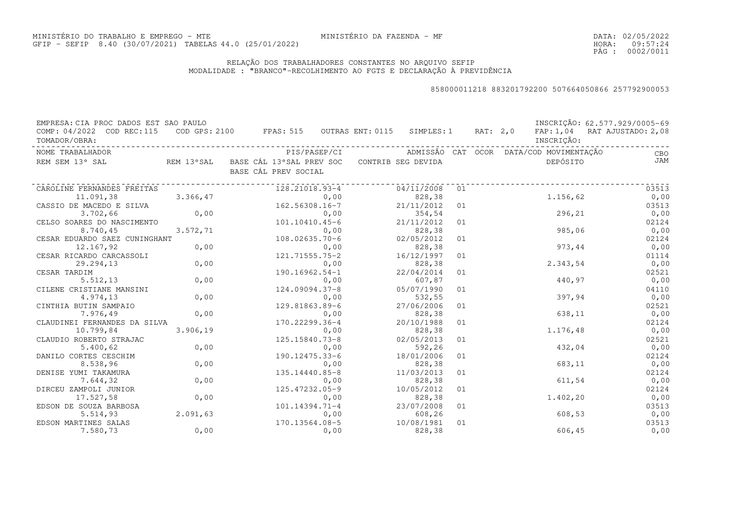DATA:02/05/2022HORA: PÁG : 09:57:24 0002/0011

# RELAÇÃO DOS TRABALHADORES CONSTANTES NO ARQUIVO SEFIPMODALIDADE : "BRANCO"-RECOLHIMENTO AO FGTS E DECLARAÇÃO À PREVIDÊNCIA

| EMPRESA: CIA PROC DADOS EST SAO PAULO      |           |                                                                                |      |            |    |  |                                                      | INSCRIÇÃO: 62.577.929/0005-69 |
|--------------------------------------------|-----------|--------------------------------------------------------------------------------|------|------------|----|--|------------------------------------------------------|-------------------------------|
| COMP: 04/2022 COD REC:115<br>TOMADOR/OBRA: |           | COD GPS: 2100 FPAS: 515 OUTRAS ENT: 0115 SIMPLES: 1 RAT: 2,0                   |      |            |    |  | INSCRIÇÃO:                                           | FAP: 1,04 RAT AJUSTADO: 2,08  |
| NOME TRABALHADOR                           |           |                                                                                |      |            |    |  | PIS/PASEP/CI ADMISSÃO CAT OCOR DATA/COD MOVIMENTAÇÃO | <b>CBO</b>                    |
| REM SEM 13° SAL                            |           | REM 13°SAL BASE CÁL 13°SAL PREV SOC CONTRIB SEG DEVIDA<br>BASE CÁL PREV SOCIAL |      |            |    |  | DEPÓSITO                                             | <b>JAM</b>                    |
| CAROLINE FERNANDES FREITAS                 |           | 128.21018.93-4                                                                 |      | 04/11/2008 | 01 |  |                                                      | 03513                         |
| 11.091,38                                  | 3.366,47  |                                                                                | 0,00 | 828, 38    |    |  | 1.156,62                                             | 0,00                          |
| CASSIO DE MACEDO E SILVA                   |           | 162.56308.16-7                                                                 |      | 21/11/2012 | 01 |  |                                                      | 03513                         |
| 3.702,66                                   | 0,00      |                                                                                | 0,00 | 354,54     |    |  | 296,21                                               | 0,00                          |
| CELSO SOARES DO NASCIMENTO                 |           | 101,10410.45-6                                                                 |      | 21/11/2012 | 01 |  |                                                      | 02124                         |
| 8.740,45                                   | 3.572, 71 |                                                                                | 0,00 | 828,38     |    |  | 985,06                                               | 0,00                          |
| CESAR EDUARDO SAEZ CUNINGHANT              |           | $108.02635.70 - 6$                                                             |      | 02/05/2012 | 01 |  |                                                      | 02124                         |
| 12.167,92                                  | 0,00      |                                                                                | 0,00 | 828,38     |    |  | 973,44                                               | 0,00                          |
| CESAR RICARDO CARCASSOLI                   |           | 121.71555.75-2                                                                 |      | 16/12/1997 | 01 |  |                                                      | 01114                         |
| 29.294,13                                  | 0,00      |                                                                                | 0,00 | 828,38     |    |  | 2.343,54                                             | 0,00                          |
| CESAR TARDIM                               |           | $190.16962.54-1$                                                               |      | 22/04/2014 | 01 |  |                                                      | 02521                         |
| 5.512, 13                                  | 0,00      |                                                                                | 0,00 | 607,87     |    |  | 440,97                                               | 0,00                          |
| CILENE CRISTIANE MANSINI                   |           | 124.09094.37-8                                                                 |      | 05/07/1990 | 01 |  |                                                      | 04110                         |
| 4.974,13                                   | 0,00      |                                                                                | 0,00 | 532,55     |    |  | 397,94                                               | 0,00                          |
| CINTHIA BUTIN SAMPAIO                      |           | 129.81863.89-6                                                                 |      | 27/06/2006 | 01 |  |                                                      | 02521                         |
| 7.976,49                                   | 0,00      |                                                                                | 0,00 | 828,38     |    |  | 638,11                                               | 0,00                          |
| CLAUDINEI FERNANDES DA SILVA               |           | 170.22299.36-4                                                                 |      | 20/10/1988 | 01 |  |                                                      | 02124                         |
| 10.799,84                                  | 3.906, 19 |                                                                                | 0,00 | 828,38     |    |  | 1.176,48                                             | 0,00                          |
| CLAUDIO ROBERTO STRAJAC                    |           | 125.15840.73-8                                                                 |      | 02/05/2013 | 01 |  |                                                      | 02521                         |
| 5.400, 62                                  | 0,00      |                                                                                | 0,00 | 592,26     |    |  | 432,04                                               | 0,00                          |
| DANILO CORTES CESCHIM                      |           | 190.12475.33-6                                                                 |      | 18/01/2006 | 01 |  |                                                      | 02124                         |
| 8.538,96                                   | 0,00      |                                                                                | 0,00 | 828,38     |    |  | 683,11                                               | 0,00                          |
| DENISE YUMI TAKAMURA                       |           | 135.14440.85-8                                                                 |      | 11/03/2013 | 01 |  |                                                      | 02124                         |
| 7.644,32                                   | 0,00      |                                                                                | 0,00 | 828,38     |    |  | 611,54                                               | 0,00                          |
| DIRCEU ZAMPOLI JUNIOR                      |           | 125.47232.05-9                                                                 |      | 10/05/2012 | 01 |  |                                                      | 02124                         |
| 17.527,58                                  | 0,00      |                                                                                | 0,00 | 828,38     |    |  | 1.402,20                                             | 0,00                          |
| EDSON DE SOUZA BARBOSA                     |           | $101.14394.71 - 4$                                                             |      | 23/07/2008 | 01 |  |                                                      | 03513                         |
| 5.514,93                                   | 2.091,63  |                                                                                | 0,00 | 608,26     |    |  | 608,53                                               | 0,00                          |
| EDSON MARTINES SALAS                       |           | 170.13564.08-5                                                                 |      | 10/08/1981 | 01 |  |                                                      | 03513                         |
| 7.580,73                                   | 0,00      |                                                                                | 0,00 | 828,38     |    |  | 606,45                                               | 0,00                          |
|                                            |           |                                                                                |      |            |    |  |                                                      |                               |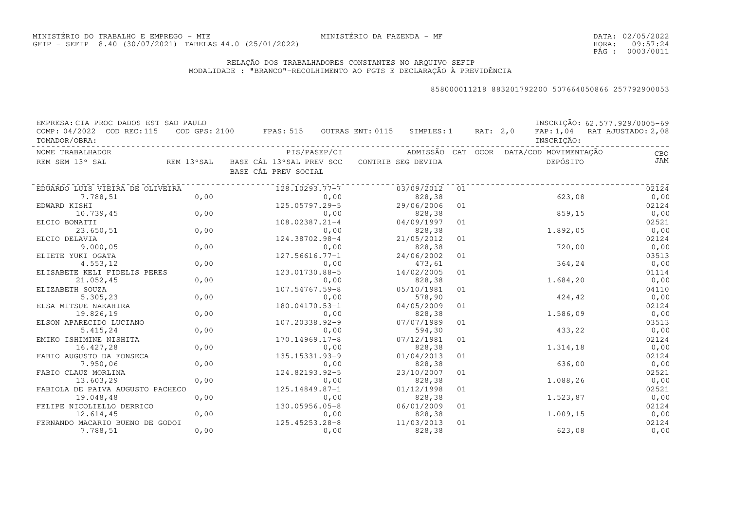DATA:02/05/2022HORA: PÁG : 09:57:24 0003/0011

# RELAÇÃO DOS TRABALHADORES CONSTANTES NO ARQUIVO SEFIPMODALIDADE : "BRANCO"-RECOLHIMENTO AO FGTS E DECLARAÇÃO À PREVIDÊNCIA

| EMPRESA: CIA PROC DADOS EST SAO PAULO       |      |                                                              |                      |    |                                         | INSCRIÇÃO: 62.577.929/0005-69 |
|---------------------------------------------|------|--------------------------------------------------------------|----------------------|----|-----------------------------------------|-------------------------------|
| COMP: 04/2022 COD REC:115<br>TOMADOR/OBRA:  |      | COD GPS: 2100 FPAS: 515 OUTRAS ENT: 0115 SIMPLES: 1 RAT: 2,0 |                      |    | INSCRIÇÃO:                              | FAP: 1,04 RAT AJUSTADO: 2,08  |
| NOME TRABALHADOR                            |      | PIS/PASEP/CI                                                 |                      |    | ADMISSÃO CAT OCOR DATA/COD MOVIMENTAÇÃO | CBO                           |
| REM SEM 13° SAL                             |      | REM 13°SAL BASE CÁL 13°SAL PREV SOC<br>BASE CÁL PREV SOCIAL  | CONTRIB SEG DEVIDA   |    | DEPÓSITO                                | JAM                           |
| EDUARDO LUIS VIEIRA DE OLIVEIRA             |      | 128.10293.77-7                                               | 03/09/2012           | 01 |                                         | 02124                         |
| 7.788,51                                    | 0,00 | 0,00                                                         | 828,38               |    | 623,08                                  | 0,00                          |
| EDWARD KISHI                                |      | 125.05797.29-5                                               | 29/06/2006           | 01 |                                         | 02124                         |
| 0,00<br>10.739,45                           |      | 0,00                                                         | 828,38               |    | 859, 15                                 | 0,00                          |
| ELCIO BONATTI                               |      | 108.02387.21-4                                               | 04/09/1997           | 01 |                                         | 02521                         |
| 23.650,51                                   | 0,00 | 0,00                                                         | 828,38               |    | 1.892,05                                | 0,00                          |
| ELCIO DELAVIA                               |      | 124.38702.98-4                                               | 21/05/2012           | 01 |                                         | 02124                         |
| 9.000,05                                    | 0,00 | 0,00                                                         | 828,38               |    | 720,00                                  | 0,00                          |
| ELIETE YUKI OGATA                           |      | $127.56616.77 - 1$                                           | 24/06/2002           | 01 |                                         | 03513                         |
| 4.553,12                                    | 0,00 | 0,00                                                         | 473,61               |    | 364,24                                  | 0,00                          |
| ELISABETE KELI FIDELIS PERES                |      | 123.01730.88-5                                               | 14/02/2005           | 01 |                                         | 01114                         |
| 21.052,45                                   | 0,00 | 0,00                                                         | 828,38               |    | 1.684,20                                | 0,00                          |
| ELIZABETH SOUZA                             |      | 107.54767.59-8                                               | 05/10/1981           | 01 |                                         | 04110                         |
| 5.305,23                                    | 0,00 | 0,00                                                         | 578,90               |    | 424,42                                  | 0,00                          |
| ELSA MITSUE NAKAHIRA                        |      | 180.04170.53-1                                               | 04/05/2009           | 01 |                                         | 02124                         |
| 19.826,19                                   | 0,00 | 0,00                                                         | 828,38               |    | 1.586,09                                | 0,00                          |
| ELSON APARECIDO LUCIANO                     |      | 107.20338.92-9                                               | 07/07/1989           | 01 |                                         | 03513                         |
| 5.415,24                                    | 0,00 | 0,00                                                         | 594,30               |    | 433,22                                  | 0,00                          |
| EMIKO ISHIMINE NISHITA                      |      | 170.14969.17-8                                               | 07/12/1981           | 01 |                                         | 02124                         |
| 16.427,28                                   | 0,00 | 0,00                                                         | 828,38               |    | 1.314,18                                | 0,00                          |
| FABIO AUGUSTO DA FONSECA                    |      | 135.15331.93-9                                               | 01/04/2013           | 01 |                                         | 02124                         |
| 7.950,06                                    | 0,00 | 0,00                                                         | 828,38               |    | 636,00                                  | 0,00                          |
| FABIO CLAUZ MORLINA                         |      | 124.82193.92-5                                               | 23/10/2007           | 01 |                                         | 02521                         |
| 13.603,29                                   | 0,00 | 0,00                                                         | 828,38               |    | 1.088,26                                | 0,00                          |
| FABIOLA DE PAIVA AUGUSTO PACHECO            |      | 125.14849.87-1                                               | 01/12/1998           | 01 |                                         | 02521                         |
| 19.048,48                                   | 0,00 | 0,00                                                         | 828,38               |    | 1.523,87                                | 0,00                          |
| FELIPE NICOLIELLO DERRICO                   |      | 130.05956.05-8                                               | 06/01/2009           | 01 |                                         | 02124                         |
| 12.614,45                                   | 0,00 | 0,00                                                         | 828,38               | 01 | 1.009,15                                | 0,00                          |
| FERNANDO MACARIO BUENO DE GODOI<br>7.788,51 | 0,00 | 125.45253.28-8<br>0,00                                       | 11/03/2013<br>828,38 |    | 623,08                                  | 02124<br>0,00                 |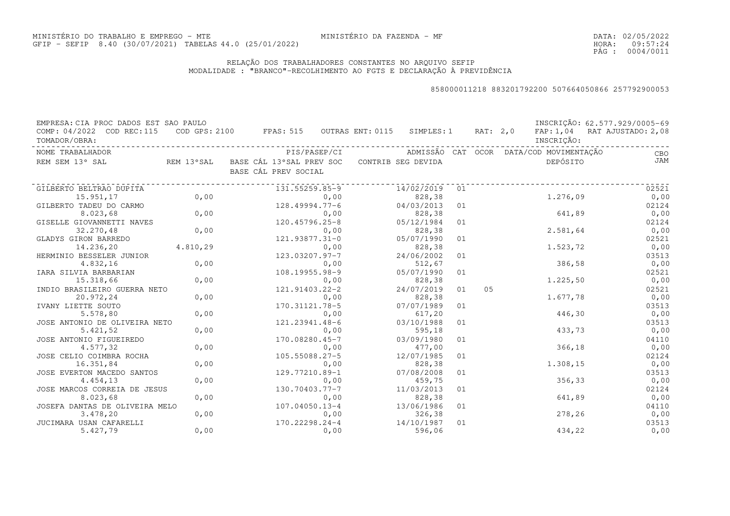DATA:02/05/2022HORA: PÁG : 09:57:24 0004/0011

# RELAÇÃO DOS TRABALHADORES CONSTANTES NO ARQUIVO SEFIPMODALIDADE : "BRANCO"-RECOLHIMENTO AO FGTS E DECLARAÇÃO À PREVIDÊNCIA

| EMPRESA: CIA PROC DADOS EST SAO PAULO      |          |                                                             |              |                    |    |                |                                         | INSCRIÇÃO: 62.577.929/0005-69 |
|--------------------------------------------|----------|-------------------------------------------------------------|--------------|--------------------|----|----------------|-----------------------------------------|-------------------------------|
| COMP: 04/2022 COD REC:115<br>TOMADOR/OBRA: |          | COD GPS: 2100 FPAS: 515 OUTRAS ENT: 0115 SIMPLES: 1         |              |                    |    | RAT: 2,0       | INSCRIÇÃO:                              | FAP: 1,04 RAT AJUSTADO: 2,08  |
| NOME TRABALHADOR                           |          |                                                             | PIS/PASEP/CI |                    |    |                | ADMISSÃO CAT OCOR DATA/COD MOVIMENTAÇÃO | CBO                           |
| REM SEM 13° SAL                            |          | REM 13°SAL BASE CÁL 13°SAL PREV SOC<br>BASE CÁL PREV SOCIAL |              | CONTRIB SEG DEVIDA |    |                | DEPÓSITO                                | JAM                           |
| GILBERTO BELTRAO DUPITA                    |          | 131.55259.85-9                                              |              | 14/02/2019         | 01 |                |                                         | 02521                         |
| 15.951,17                                  | 0,00     |                                                             | 0,00         | 828,38             |    |                | 1.276,09                                | 0,00                          |
| GILBERTO TADEU DO CARMO                    |          | $128.49994.77 - 6$                                          |              | 04/03/2013         | 01 |                |                                         | 02124                         |
| 8.023,68                                   | 0,00     |                                                             | 0,00         | 828,38             |    |                | 641,89                                  | 0,00                          |
| GISELLE GIOVANNETTI NAVES                  |          | 120.45796.25-8                                              |              | 05/12/1984         | 01 |                |                                         | 02124                         |
| 32.270,48                                  | 0,00     |                                                             | 0,00         | 828,38             |    |                | 2.581,64                                | 0,00                          |
| GLADYS GIRON BARREDO                       |          | 121.93877.31-0                                              |              | 05/07/1990         | 01 |                |                                         | 02521                         |
| 14.236,20                                  | 4.810,29 |                                                             | 0,00         | 828,38             |    |                | 1.523,72                                | 0,00                          |
| HERMINIO BESSELER JUNIOR                   |          | 123.03207.97-7                                              |              | 24/06/2002         | 01 |                |                                         | 03513                         |
| 4.832,16                                   | 0,00     |                                                             | 0,00         | 512,67             |    |                | 386,58                                  | 0,00                          |
| IARA SILVIA BARBARIAN                      |          | 108.19955.98-9                                              |              | 05/07/1990         | 01 |                |                                         | 02521                         |
| 15.318,66                                  | 0,00     |                                                             | 0,00         | 828,38             |    |                | 1.225,50                                | 0,00                          |
| INDIO BRASILEIRO GUERRA NETO               |          | 121.91403.22-2                                              |              | 24/07/2019         | 01 | 0 <sub>5</sub> |                                         | 02521                         |
| 20.972,24                                  | 0,00     |                                                             | 0,00         | 828,38             |    |                | 1.677,78                                | 0,00                          |
| IVANY LIETTE SOUTO                         |          | 170.31121.78-5                                              |              | 07/07/1989         | 01 |                |                                         | 03513                         |
| 5.578,80                                   | 0,00     |                                                             | 0,00         | 617,20             |    |                | 446,30                                  | 0,00                          |
| JOSE ANTONIO DE OLIVEIRA NETO              |          | 121.23941.48-6                                              |              | 03/10/1988         | 01 |                |                                         | 03513                         |
| 5.421,52                                   | 0,00     |                                                             | 0,00         | 595,18             |    |                | 433,73                                  | 0,00                          |
| JOSE ANTONIO FIGUEIREDO                    |          | 170.08280.45-7                                              |              | 03/09/1980         | 01 |                |                                         | 04110                         |
| 4.577,32                                   | 0,00     |                                                             | 0,00         | 477,00             |    |                | 366,18                                  | 0,00                          |
| JOSE CELIO COIMBRA ROCHA                   |          | 105.55088.27-5                                              |              | 12/07/1985         | 01 |                |                                         | 02124                         |
| 16.351,84                                  | 0,00     |                                                             | 0,00         | 828,38             |    |                | 1.308,15                                | 0,00                          |
| JOSE EVERTON MACEDO SANTOS                 |          | 129.77210.89-1                                              |              | 07/08/2008         | 01 |                |                                         | 03513                         |
| 4.454,13                                   | 0,00     |                                                             | 0,00         | 459,75             |    |                | 356,33                                  | 0,00                          |
| JOSE MARCOS CORREIA DE JESUS               |          | 130.70403.77-7                                              |              | 11/03/2013         | 01 |                |                                         | 02124                         |
| 8.023,68                                   | 0,00     |                                                             | 0,00         | 828,38             |    |                | 641,89                                  | 0,00                          |
| JOSEFA DANTAS DE OLIVEIRA MELO             |          | 107.04050.13-4                                              |              | 13/06/1986         | 01 |                |                                         | 04110                         |
| 3.478,20                                   | 0,00     |                                                             | 0,00         | 326,38             |    |                | 278,26                                  | 0,00                          |
| JUCIMARA USAN CAFARELLI                    |          | 170.22298.24-4                                              |              | 14/10/1987         | 01 |                |                                         | 03513                         |
| 5.427,79                                   | 0,00     |                                                             | 0,00         | 596,06             |    |                | 434,22                                  | 0,00                          |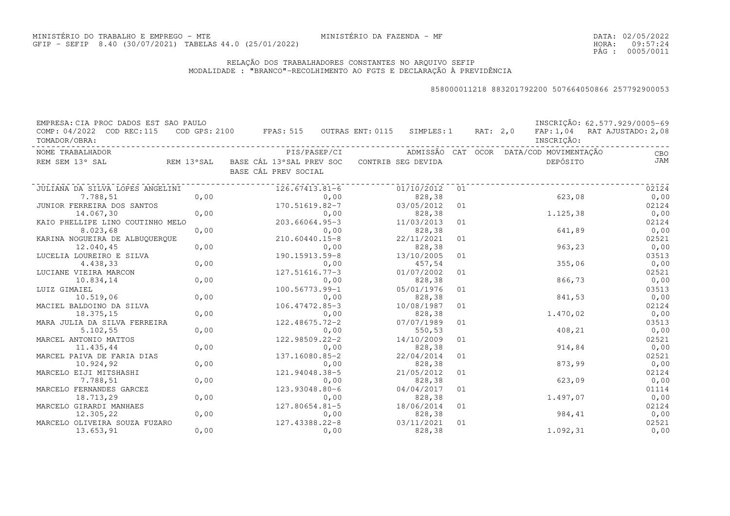DATA:02/05/2022HORA: PÁG : 09:57:24 0005/0011

# RELAÇÃO DOS TRABALHADORES CONSTANTES NO ARQUIVO SEFIPMODALIDADE : "BRANCO"-RECOLHIMENTO AO FGTS E DECLARAÇÃO À PREVIDÊNCIA

| EMPRESA: CIA PROC DADOS EST SAO PAULO<br>COMP: 04/2022 COD REC:115<br>TOMADOR/OBRA: |      | COD GPS: 2100 FPAS: 515 OUTRAS ENT: 0115 SIMPLES: 1                            |              |                      |    | RAT: 2,0 | INSCRIÇÃO:                              | INSCRIÇÃO: 62.577.929/0005-69<br>FAP: 1,04 RAT AJUSTADO: 2,08 |
|-------------------------------------------------------------------------------------|------|--------------------------------------------------------------------------------|--------------|----------------------|----|----------|-----------------------------------------|---------------------------------------------------------------|
| NOME TRABALHADOR                                                                    |      |                                                                                | PIS/PASEP/CI |                      |    |          | ADMISSÃO CAT OCOR DATA/COD MOVIMENTAÇÃO | CBO                                                           |
| REM SEM 13° SAL                                                                     |      | REM 13°SAL BASE CÁL 13°SAL PREV SOC CONTRIB SEG DEVIDA<br>BASE CÁL PREV SOCIAL |              |                      |    |          | DEPÓSITO                                | JAM                                                           |
| JULIANA DA SILVA LOPES ANGELINI                                                     |      | 126.67413.81-6                                                                 |              | 01/10/2012           | 01 |          |                                         | 02124                                                         |
| 7.788,51                                                                            | 0,00 |                                                                                | 0,00         | 828,38               |    |          | 623,08                                  | 0,00                                                          |
| JUNIOR FERREIRA DOS SANTOS                                                          |      | 170.51619.82-7                                                                 |              | 03/05/2012           | 01 |          |                                         | 02124                                                         |
| 14.067,30                                                                           | 0,00 |                                                                                | 0,00         | 828,38               |    |          | 1.125,38                                | 0,00                                                          |
| KAIO PHELLIPE LINO COUTINHO MELO                                                    |      | 203.66064.95-3                                                                 |              | 11/03/2013           | 01 |          |                                         | 02124                                                         |
| 8.023,68                                                                            | 0,00 |                                                                                | 0,00         | 828,38               |    |          | 641,89                                  | 0,00                                                          |
| KARINA NOGUEIRA DE ALBUQUERQUE                                                      |      | 210.60440.15-8                                                                 |              | 22/11/2021           | 01 |          |                                         | 02521                                                         |
| 12.040,45                                                                           | 0,00 |                                                                                | 0,00         | 828,38               |    |          | 963,23                                  | 0,00                                                          |
| LUCELIA LOUREIRO E SILVA                                                            |      | 190.15913.59-8                                                                 |              | 13/10/2005           | 01 |          |                                         | 03513                                                         |
| 4.438,33                                                                            | 0,00 |                                                                                | 0,00         | 457,54               |    |          | 355,06                                  | 0,00                                                          |
| LUCIANE VIEIRA MARCON                                                               |      | $127.51616.77 - 3$                                                             |              | 01/07/2002           | 01 |          |                                         | 02521                                                         |
| 10.834,14                                                                           | 0,00 |                                                                                | 0,00         | 828,38               |    |          | 866,73                                  | 0,00                                                          |
| LUIZ GIMAIEL                                                                        |      | 100.56773.99-1                                                                 |              | 05/01/1976           | 01 |          |                                         | 03513                                                         |
| 10.519,06                                                                           | 0,00 |                                                                                | 0,00         | 828,38               |    |          | 841,53                                  | 0,00                                                          |
| MACIEL BALDOINO DA SILVA                                                            |      | 106.47472.85-3                                                                 |              | 10/08/1987           | 01 |          |                                         | 02124                                                         |
| 18.375,15                                                                           | 0,00 |                                                                                | 0,00         | 828,38               |    |          | 1.470,02                                | 0,00                                                          |
| MARA JULIA DA SILVA FERREIRA                                                        |      | 122.48675.72-2                                                                 |              | 07/07/1989           | 01 |          |                                         | 03513                                                         |
| 5.102,55                                                                            | 0,00 |                                                                                | 0,00         | 550,53               |    |          | 408,21                                  | 0,00                                                          |
| MARCEL ANTONIO MATTOS                                                               |      | 122.98509.22-2                                                                 |              | 14/10/2009           | 01 |          |                                         | 02521                                                         |
| 11.435,44                                                                           | 0,00 |                                                                                | 0,00         | 828,38               |    |          | 914,84                                  | 0,00                                                          |
| MARCEL PAIVA DE FARIA DIAS                                                          |      | 137.16080.85-2                                                                 |              | 22/04/2014           | 01 |          |                                         | 02521                                                         |
| 10.924,92                                                                           | 0,00 |                                                                                | 0,00         | 828,38               |    |          | 873,99                                  | 0,00                                                          |
| MARCELO EIJI MITSHASHI                                                              |      | 121.94048.38-5                                                                 |              | 21/05/2012           | 01 |          |                                         | 02124                                                         |
| 7.788,51                                                                            | 0,00 |                                                                                | 0,00         | 828,38               |    |          | 623,09                                  | 0,00                                                          |
| MARCELO FERNANDES GARCEZ                                                            |      | 123.93048.80-6                                                                 |              | 04/04/2017           | 01 |          |                                         | 01114                                                         |
| 18.713,29                                                                           | 0,00 |                                                                                | 0,00         | 828,38               |    |          | 1.497,07                                | 0,00                                                          |
| MARCELO GIRARDI MANHAES                                                             |      | 127.80654.81-5                                                                 |              | 18/06/2014           | 01 |          |                                         | 02124                                                         |
| 12.305,22                                                                           | 0,00 |                                                                                | 0,00         | 828,38               |    |          | 984,41                                  | 0,00                                                          |
| MARCELO OLIVEIRA SOUZA FUZARO<br>13.653,91                                          | 0,00 | 127.43388.22-8                                                                 | 0,00         | 03/11/2021<br>828,38 | 01 |          | 1.092,31                                | 02521<br>0,00                                                 |
|                                                                                     |      |                                                                                |              |                      |    |          |                                         |                                                               |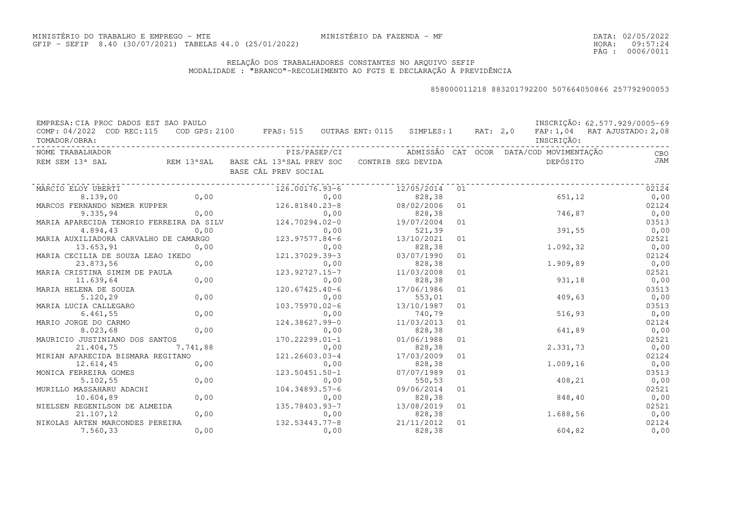DATA:02/05/2022HORA: PÁG : 09:57:24 0006/0011

# RELAÇÃO DOS TRABALHADORES CONSTANTES NO ARQUIVO SEFIPMODALIDADE : "BRANCO"-RECOLHIMENTO AO FGTS E DECLARAÇÃO À PREVIDÊNCIA

| EMPRESA: CIA PROC DADOS EST SAO PAULO    |          |                                                              |              |            |    |  |                                         | INSCRIÇÃO: 62.577.929/0005-69 |
|------------------------------------------|----------|--------------------------------------------------------------|--------------|------------|----|--|-----------------------------------------|-------------------------------|
| COMP: 04/2022 COD REC:115                |          | COD GPS: 2100 FPAS: 515 OUTRAS ENT: 0115 SIMPLES: 1 RAT: 2,0 |              |            |    |  |                                         | FAP: 1,04 RAT AJUSTADO: 2,08  |
| TOMADOR/OBRA:                            |          |                                                              |              |            |    |  | INSCRIÇÃO:                              |                               |
| NOME TRABALHADOR                         |          |                                                              | PIS/PASEP/CI |            |    |  | ADMISSÃO CAT OCOR DATA/COD MOVIMENTAÇÃO | <b>CBO</b>                    |
| REM SEM 13° SAL                          |          | REM 13°SAL BASE CÁL 13°SAL PREV SOC CONTRIB SEG DEVIDA       |              |            |    |  | DEPÓSITO                                | <b>JAM</b>                    |
|                                          |          | BASE CÁL PREV SOCIAL                                         |              |            |    |  |                                         |                               |
| MARCIO ELOY UBERTI                       |          | 126.00176.93-6                                               |              | 12/05/2014 | 01 |  |                                         | 02124                         |
| 8.139,00                                 | 0,00     |                                                              | 0,00         | 828,38     |    |  | 651,12                                  | 0,00                          |
| MARCOS FERNANDO NEMER KUPPER             |          | 126.81840.23-8                                               |              | 08/02/2006 | 01 |  |                                         | 02124                         |
| 9.335,94                                 | 0,00     |                                                              | 0,00         | 828,38     |    |  | 746,87                                  | 0,00                          |
| MARIA APARECIDA TENORIO FERREIRA DA SILV |          | 124.70294.02-0                                               |              | 19/07/2004 | 01 |  |                                         | 03513                         |
| 4.894,43                                 | 0,00     |                                                              | 0,00         | 521,39     |    |  | 391,55                                  | 0,00                          |
| MARIA AUXILIADORA CARVALHO DE CAMARGO    |          | 123.97577.84-6                                               |              | 13/10/2021 | 01 |  |                                         | 02521                         |
| 13.653,91                                | 0,00     |                                                              | 0,00         | 828,38     |    |  | 1.092,32                                | 0,00                          |
| MARIA CECILIA DE SOUZA LEAO IKEDO        |          | 121.37029.39-3                                               |              | 03/07/1990 | 01 |  |                                         | 02124                         |
| 23.873,56                                | 0,00     |                                                              | 0,00         | 828,38     |    |  | 1.909,89                                | 0,00                          |
| MARIA CRISTINA SIMIM DE PAULA            |          | 123.92727.15-7                                               |              | 11/03/2008 | 01 |  |                                         | 02521                         |
| 11.639,64                                | 0,00     |                                                              | 0,00         | 828,38     |    |  | 931,18                                  | 0,00                          |
| MARIA HELENA DE SOUZA                    |          | $120.67425.40-6$                                             |              | 17/06/1986 | 01 |  |                                         | 03513                         |
| 5.120,29                                 | 0,00     |                                                              | 0,00         | 553,01     |    |  | 409,63                                  | 0,00                          |
| MARIA LUCIA CALLEGARO                    |          | 103.75970.02-6                                               |              | 13/10/1987 | 01 |  |                                         | 03513                         |
| 6.461, 55                                | 0,00     |                                                              | 0,00         | 740,79     |    |  | 516, 93                                 | 0,00                          |
| MARIO JORGE DO CARMO                     |          | 124.38627.99-0                                               |              | 11/03/2013 | 01 |  |                                         | 02124                         |
| 8.023,68                                 | 0,00     |                                                              | 0,00         | 828,38     |    |  | 641,89                                  | 0,00                          |
| MAURICIO JUSTINIANO DOS SANTOS           |          | 170.22299.01-1                                               |              | 01/06/1988 | 01 |  |                                         | 02521                         |
| 21.404,75                                | 7.741,88 |                                                              | 0,00         | 828,38     |    |  | 2.331,73                                | 0,00                          |
| MIRIAN APARECIDA BISMARA REGITANO        |          | 121.26603.03-4                                               |              | 17/03/2009 | 01 |  |                                         | 02124                         |
| 12.614,45                                | 0,00     |                                                              | 0,00         | 828,38     |    |  | 1.009,16                                | 0,00                          |
| MONICA FERREIRA GOMES                    |          | 123.50451.50-1                                               |              | 07/07/1989 | 01 |  |                                         | 03513                         |
| 5.102, 55                                | 0,00     |                                                              | 0,00         | 550,53     |    |  | 408,21                                  | 0,00                          |
| MURILLO MASSAHARU ADACHI                 |          | 104.34893.57-6                                               |              | 09/06/2014 | 01 |  |                                         | 02521                         |
| 10.604,89                                | 0,00     |                                                              | 0,00         | 828,38     |    |  | 848,40                                  | 0,00                          |
| NIELSEN REGENILSON DE ALMEIDA            |          | 135.78403.93-7                                               |              | 13/08/2019 | 01 |  |                                         | 02521                         |
| 21.107,12                                | 0,00     |                                                              | 0,00         | 828,38     |    |  | 1.688,56                                | 0,00                          |
| NIKOLAS ARTEN MARCONDES PEREIRA          |          | 132.53443.77-8                                               |              | 21/11/2012 | 01 |  |                                         | 02124                         |
| 7.560,33                                 | 0,00     |                                                              | 0,00         | 828,38     |    |  | 604,82                                  | 0,00                          |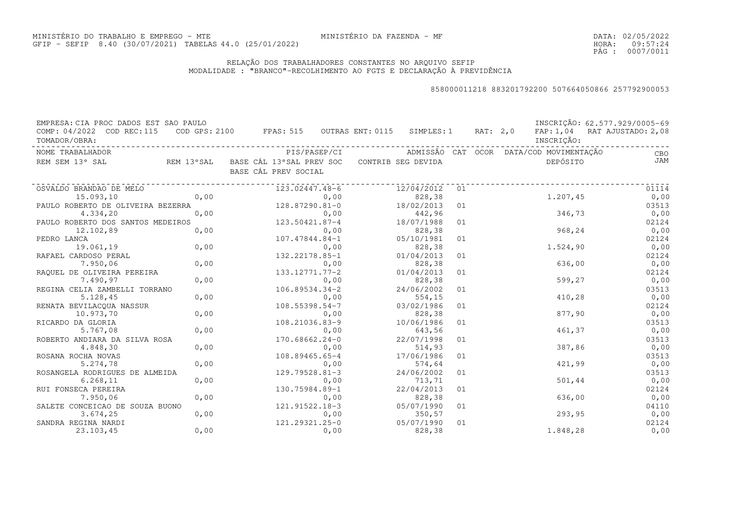DATA:02/05/2022HORA: PÁG : 09:57:24 0007/0011

# RELAÇÃO DOS TRABALHADORES CONSTANTES NO ARQUIVO SEFIPMODALIDADE : "BRANCO"-RECOLHIMENTO AO FGTS E DECLARAÇÃO À PREVIDÊNCIA

| EMPRESA: CIA PROC DADOS EST SAO PAULO      |      |                                                                                |      |            |            |    |  |            | INSCRIÇÃO: 62.577.929/0005-69 |
|--------------------------------------------|------|--------------------------------------------------------------------------------|------|------------|------------|----|--|------------|-------------------------------|
| COMP: 04/2022 COD REC:115<br>TOMADOR/OBRA: |      | COD GPS: 2100 FPAS: 515 OUTRAS ENT: 0115 SIMPLES: 1 RAT: 2,0                   |      |            |            |    |  | INSCRIÇÃO: | FAP: 1,04 RAT AJUSTADO: 2,08  |
| NOME TRABALHADOR                           |      |                                                                                |      |            |            |    |  |            | <b>CBO</b>                    |
| REM SEM 13° SAL                            |      | REM 13°SAL BASE CÁL 13°SAL PREV SOC CONTRIB SEG DEVIDA<br>BASE CÁL PREV SOCIAL |      |            |            |    |  | DEPÓSITO   | <b>JAM</b>                    |
| OSVALDO BRANDAO DE MELO                    |      | 123.02447.48-6                                                                 |      |            | 12/04/2012 | 01 |  |            | 01114                         |
| 15.093,10                                  | 0,00 |                                                                                | 0,00 |            | 828,38     |    |  | 1.207,45   | 0,00                          |
| PAULO ROBERTO DE OLIVEIRA BEZERRA          |      | 128.87290.81-0                                                                 |      |            | 18/02/2013 | 01 |  |            | 03513                         |
| 4.334,20                                   |      | 0,00<br>0,00<br>123.50421.87-4<br>0,00<br>107.47844.84-1                       |      |            | 442,96     |    |  |            | 346,73<br>0,00                |
| PAULO ROBERTO DOS SANTOS MEDEIROS          |      |                                                                                |      | 18/07/1988 |            | 01 |  |            | 02124                         |
| 12.102,89                                  |      |                                                                                |      |            | 828,38     |    |  | 968,24     | 0,00                          |
| PEDRO LANCA                                |      |                                                                                |      |            | 05/10/1981 | 01 |  |            | 02124                         |
| 19.061,19                                  | 0,00 |                                                                                | 0,00 |            | 828,38     |    |  | 1,524,90   | 0,00                          |
| RAFAEL CARDOSO PERAL                       |      | 132.22178.85-1                                                                 |      |            | 01/04/2013 | 01 |  |            | 02124                         |
| 7.950,06                                   | 0,00 |                                                                                | 0,00 |            | 828,38     |    |  | 636,00     | 0,00                          |
| RAQUEL DE OLIVEIRA PEREIRA                 |      | $133.12771.77 - 2$                                                             |      |            | 01/04/2013 | 01 |  |            | 02124                         |
| 7.490,97                                   | 0,00 |                                                                                | 0,00 |            | 828,38     |    |  | 599,27     | 0,00                          |
| REGINA CELIA ZAMBELLI TORRANO              |      | $106.89534.34-2$                                                               |      |            | 24/06/2002 | 01 |  |            | 03513                         |
| 5.128,45                                   | 0,00 |                                                                                | 0,00 |            | 554, 15    |    |  | 410,28     | 0,00                          |
| RENATA BEVILACQUA NASSUR                   |      | 108.55398.54-7                                                                 |      |            | 03/02/1986 | 01 |  |            | 02124                         |
| 10.973,70                                  | 0,00 |                                                                                | 0,00 |            | 828,38     |    |  | 877,90     | 0,00                          |
| RICARDO DA GLORIA                          |      | 108.21036.83-9                                                                 |      |            | 10/06/1986 | 01 |  |            | 03513                         |
| 5.767,08                                   | 0,00 |                                                                                | 0,00 |            | 643,56     |    |  | 461,37     | 0,00                          |
| ROBERTO ANDIARA DA SILVA ROSA              |      | 170.68662.24-0                                                                 |      |            | 22/07/1998 | 01 |  |            | 03513                         |
| 4.848,30                                   | 0,00 |                                                                                | 0,00 |            | 514,93     |    |  | 387,86     | 0,00                          |
| ROSANA ROCHA NOVAS                         |      | 108.89465.65-4                                                                 |      |            | 17/06/1986 | 01 |  |            | 03513                         |
| 5.274,78                                   | 0,00 |                                                                                | 0,00 |            | 574,64     |    |  | 421,99     | 0,00                          |
| ROSANGELA RODRIGUES DE ALMEIDA             |      | 129.79528.81-3                                                                 |      |            | 24/06/2002 | 01 |  |            | 03513                         |
| 6.268, 11                                  | 0,00 |                                                                                | 0,00 |            | 713,71     |    |  | 501,44     | 0,00                          |
| RUI FONSECA PEREIRA                        |      | 130.75984.89-1                                                                 |      |            | 22/04/2013 | 01 |  |            | 02124                         |
| 7.950,06                                   | 0,00 |                                                                                | 0,00 |            | 828,38     |    |  | 636,00     | 0,00                          |
| SALETE CONCEICAO DE SOUZA BUONO            |      | 121.91522.18-3                                                                 |      |            | 05/07/1990 | 01 |  |            | 04110                         |
| 3.674, 25                                  | 0,00 |                                                                                | 0,00 |            | 350, 57    |    |  | 293,95     | 0,00                          |
| SANDRA REGINA NARDI                        |      | 121.29321.25-0                                                                 |      |            | 05/07/1990 | 01 |  |            | 02124                         |
| 23.103,45                                  | 0,00 |                                                                                | 0,00 |            | 828,38     |    |  | 1.848,28   | 0,00                          |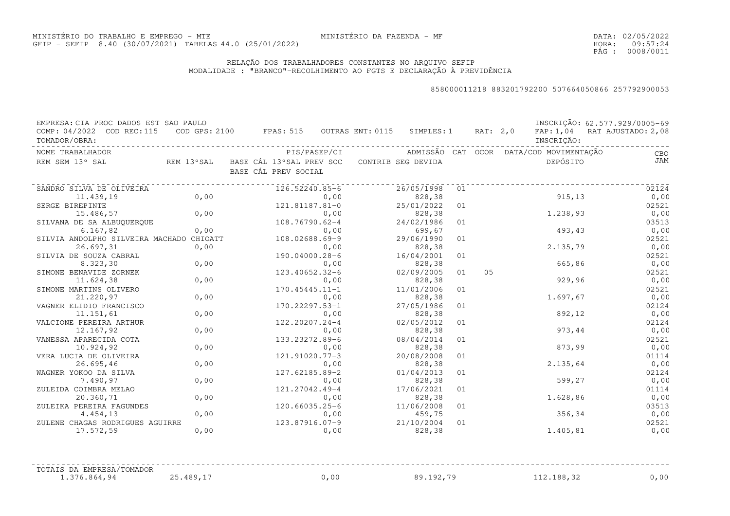DATA:02/05/2022HORA: PÁG : 09:57:24 0008/0011

#### RELAÇÃO DOS TRABALHADORES CONSTANTES NO ARQUIVO SEFIPMODALIDADE : "BRANCO"-RECOLHIMENTO AO FGTS E DECLARAÇÃO À PREVIDÊNCIA

#### 858000011218 883201792200 507664050866 257792900053

| EMPRESA: CIA PROC DADOS EST SAO PAULO<br>COMP: 04/2022 COD REC:115<br>TOMADOR/OBRA: |      | COD GPS: 2100 FPAS: 515 OUTRAS ENT: 0115 SIMPLES: 1 RAT: 2,0                   |            |    |    | INSCRIÇÃO:                              | INSCRIÇÃO: 62.577.929/0005-69<br>FAP: 1,04 RAT AJUSTADO: 2,08 |
|-------------------------------------------------------------------------------------|------|--------------------------------------------------------------------------------|------------|----|----|-----------------------------------------|---------------------------------------------------------------|
| NOME TRABALHADOR                                                                    |      | PIS/PASEP/CI                                                                   |            |    |    | ADMISSÃO CAT OCOR DATA/COD MOVIMENTAÇÃO | CBO                                                           |
| REM SEM 13° SAL                                                                     |      | REM 13°SAL BASE CÁL 13°SAL PREV SOC CONTRIB SEG DEVIDA<br>BASE CÁL PREV SOCIAL |            |    |    | DEPÓSITO                                | JAM                                                           |
| SANDRO SILVA DE OLIVEIRA                                                            |      | 126.52240.85-6                                                                 | 26/05/1998 | 01 |    |                                         | 02124                                                         |
| 11.439,19                                                                           | 0,00 | 0,00                                                                           | 828,38     |    |    | 915, 13                                 | 0,00                                                          |
| SERGE BIREPINTE                                                                     |      | 121.81187.81-0                                                                 | 25/01/2022 | 01 |    |                                         | 02521                                                         |
| 15.486,57                                                                           | 0,00 | 0,00                                                                           | 828,38     |    |    | 1.238, 93                               | 0,00                                                          |
| SILVANA DE SA ALBUOUEROUE                                                           |      | 108.76790.62-4                                                                 | 24/02/1986 | 01 |    |                                         | 03513                                                         |
| 6.167,82                                                                            | 0,00 | 0,00                                                                           | 699,67     |    |    | 493,43                                  | 0,00                                                          |
| SILVIA ANDOLPHO SILVEIRA MACHADO CHIOATT                                            |      | 108.02688.69-9                                                                 | 29/06/1990 | 01 |    |                                         | 02521                                                         |
| 26.697,31                                                                           | 0,00 | 0,00                                                                           | 828,38     |    |    | 2.135,79                                | 0,00                                                          |
| SILVIA DE SOUZA CABRAL                                                              |      | 190.04000.28-6                                                                 | 16/04/2001 | 01 |    |                                         | 02521                                                         |
| 8.323,30                                                                            | 0,00 | 0,00                                                                           | 828,38     |    |    | 665,86                                  | 0,00                                                          |
| SIMONE BENAVIDE ZORNEK                                                              |      | 123.40652.32-6                                                                 | 02/09/2005 | 01 | 05 |                                         | 02521                                                         |
| 11.624,38                                                                           | 0,00 | 0,00                                                                           | 828,38     |    |    | 929,96                                  | 0,00                                                          |
| SIMONE MARTINS OLIVERO                                                              |      | $170.45445.11 - 1$                                                             | 11/01/2006 | 01 |    |                                         | 02521                                                         |
| 21.220,97                                                                           | 0,00 | 0,00                                                                           | 828,38     |    |    | 1.697,67                                | 0,00                                                          |
| VAGNER ELIDIO FRANCISCO                                                             |      | 170.22297.53-1                                                                 | 27/05/1986 | 01 |    |                                         | 02124                                                         |
| 11.151,61                                                                           | 0,00 | 0,00                                                                           | 828,38     |    |    | 892,12                                  | 0,00                                                          |
| VALCIONE PEREIRA ARTHUR                                                             |      | 122.20207.24-4                                                                 | 02/05/2012 | 01 |    |                                         | 02124                                                         |
| 12.167,92                                                                           | 0,00 | 0,00                                                                           | 828,38     |    |    | 973,44                                  | 0,00                                                          |
| VANESSA APARECIDA COTA                                                              |      | 133.23272.89-6                                                                 | 08/04/2014 | 01 |    |                                         | 02521                                                         |
| 10.924,92                                                                           | 0,00 | 0,00                                                                           | 828,38     |    |    | 873,99                                  | 0,00                                                          |
| VERA LUCIA DE OLIVEIRA                                                              |      | 121.91020.77-3                                                                 | 20/08/2008 | 01 |    |                                         | 01114                                                         |
| 26.695,46                                                                           | 0,00 | 0,00                                                                           | 828,38     |    |    | 2.135,64                                | 0,00                                                          |
| WAGNER YOKOO DA SILVA                                                               |      | 127.62185.89-2                                                                 | 01/04/2013 | 01 |    |                                         | 02124                                                         |
| 7.490,97                                                                            | 0,00 | 0,00                                                                           | 828,38     |    |    | 599,27                                  | 0,00                                                          |
| ZULEIDA COIMBRA MELAO                                                               |      | 121.27042.49-4                                                                 | 17/06/2021 | 01 |    |                                         | 01114                                                         |
| 20.360,71                                                                           | 0,00 | 0,00                                                                           | 828,38     |    |    | 1.628,86                                | 0,00                                                          |
| ZULEIKA PEREIRA FAGUNDES                                                            |      | $120.66035.25 - 6$                                                             | 11/06/2008 | 01 |    |                                         | 03513                                                         |
| 4.454,13                                                                            | 0,00 | 0,00                                                                           | 459,75     |    |    | 356,34                                  | 0,00                                                          |
| ZULENE CHAGAS RODRIGUES AGUIRRE                                                     |      | 123.87916.07-9                                                                 | 21/10/2004 | 01 |    |                                         | 02521                                                         |
| 17.572,59                                                                           | 0,00 | 0,00                                                                           | 828,38     |    |    | 1.405,81                                | 0,00                                                          |
| TOTAIS DA EMPRESA/TOMADOR                                                           |      |                                                                                |            |    |    |                                         |                                                               |

 $1.376.864,94$  25.489,17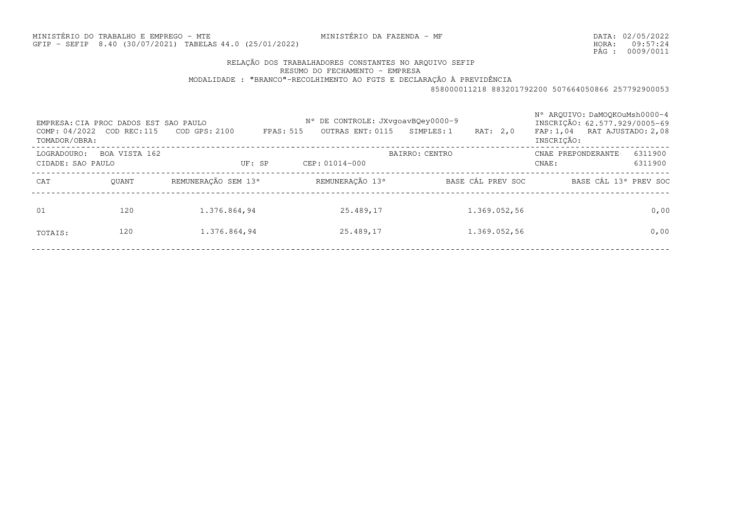MINISTÉRIO DA FAZENDA - MF

MINISTÉRIO DO TRABALHO E EMPREGO - MTEGFIP - SEFIP 8.40 (30/07/2021) TABELAS44.0 (25/01/2022)

DATA:02/05/2022HORA: PÁG : 09:57:24 0009/0011

# RELAÇÃO DOS TRABALHADORES CONSTANTES NO ARQUIVO SEFIP

RESUMO DO FECHAMENTO - EMPRESA

MODALIDADE : "BRANCO"-RECOLHIMENTO AO FGTS E DECLARAÇÃO À PREVIDÊNCIA

| COMP: 04/2022<br>TOMADOR/OBRA: | EMPRESA: CIA PROC DADOS EST SAO PAULO<br>COD REC: 115 | $COD$ GPS: $2100$   | N° DE CONTROLE: JXvqoavBQey0000-9<br>OUTRAS ENT: 0115<br>FPAS: 515 | SIMPLES: 1<br>RAT: 2,0 | N° AROUIVO: DaMOOKOuMsh0000-4<br>INSCRIÇÃO: 62.577.929/0005-69<br>FAP: 1,04 RAT AJUSTADO: 2,08<br>INSCRIÇÃO: |
|--------------------------------|-------------------------------------------------------|---------------------|--------------------------------------------------------------------|------------------------|--------------------------------------------------------------------------------------------------------------|
| LOGRADOURO:                    | BOA VISTA 162                                         |                     |                                                                    | <b>BAIRRO: CENTRO</b>  | 6311900<br>CNAE PREPONDERANTE                                                                                |
|                                | CIDADE: SAO PAULO                                     | UF: SP              | CEP: 01014-000                                                     |                        | 6311900<br>CNAE:                                                                                             |
| CAT                            | OUANT                                                 | REMUNERAÇÃO SEM 13° | REMUNERAÇÃO 13°                                                    | BASE CÁL PREV SOC      | BASE CÁL 13° PREV SOC                                                                                        |
| 01                             | 120                                                   | 1.376.864,94        | 25.489,17                                                          | 1.369.052,56           | 0,00                                                                                                         |
| TOTAIS:                        | 120                                                   | 1.376.864,94        | 25.489,17                                                          | 1.369.052,56           | 0,00                                                                                                         |
|                                |                                                       |                     |                                                                    |                        |                                                                                                              |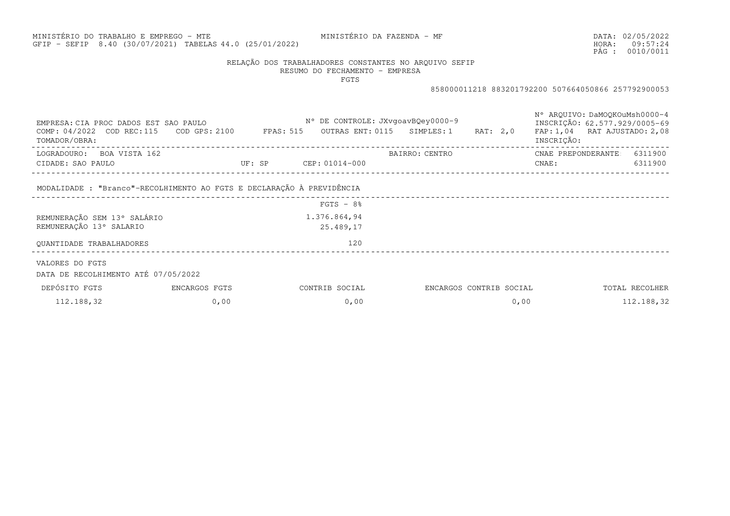# MINISTÉRIO DO TRABALHO E EMPREGO - MTEGFIP - SEFIP 8.40 (30/07/2021) TABELAS44.0 (25/01/2022)

MINISTÉRIO DA FAZENDA - MF

DATA:02/05/2022HORA: PÁG : 09:57:24 0010/0011

# RELAÇÃO DOS TRABALHADORES CONSTANTES NO ARQUIVO SEFIP

RESUMO DO FECHAMENTO - EMPRESA

FGTS

| EMPRESA: CIA PROC DADOS EST SAO PAULO<br>COMP: 04/2022 COD REC:115 COD GPS: 2100 FPAS: 515<br>TOMADOR/OBRA: |                                 | N° DE CONTROLE: JXvqoavBQey0000-9 | OUTRAS ENT: 0115 SIMPLES: 1 | RAT: 2,0                | N° AROUIVO: DaMOOKOuMsh0000-4<br>INSCRIÇÃO: 62.577.929/0005-69<br>FAP: 1,04 RAT AJUSTADO: 2,08<br>INSCRIÇÃO: |                |
|-------------------------------------------------------------------------------------------------------------|---------------------------------|-----------------------------------|-----------------------------|-------------------------|--------------------------------------------------------------------------------------------------------------|----------------|
| LOGRADOURO: BOA VISTA 162                                                                                   |                                 |                                   | BAIRRO: CENTRO              |                         | CNAE PREPONDERANTE 6311900                                                                                   |                |
| CIDADE: SAO PAULO                                                                                           |                                 |                                   |                             |                         | CNAE :                                                                                                       | 6311900        |
| MODALIDADE : "Branco"-RECOLHIMENTO AO FGTS E DECLARAÇÃO À PREVIDÊNCIA                                       | _______________________________ |                                   |                             |                         |                                                                                                              |                |
|                                                                                                             |                                 | $FGTS - 8%$                       |                             |                         |                                                                                                              |                |
| REMUNERAÇÃO SEM 13° SALÁRIO                                                                                 |                                 | 1.376.864,94                      |                             |                         |                                                                                                              |                |
| REMUNERAÇÃO 13° SALARIO                                                                                     |                                 | 25.489,17                         |                             |                         |                                                                                                              |                |
| OUANTIDADE TRABALHADORES                                                                                    |                                 | 120                               |                             |                         |                                                                                                              |                |
| VALORES DO FGTS<br>DATA DE RECOLHIMENTO ATÉ 07/05/2022                                                      |                                 |                                   |                             |                         |                                                                                                              |                |
| DEPÓSITO FGTS                                                                                               | ENCARGOS FGTS                   | CONTRIB SOCIAL                    |                             | ENCARGOS CONTRIB SOCIAL |                                                                                                              | TOTAL RECOLHER |
| 112.188,32                                                                                                  | 0,00                            | 0,00                              |                             | 0,00                    |                                                                                                              | 112.188,32     |
|                                                                                                             |                                 |                                   |                             |                         |                                                                                                              |                |